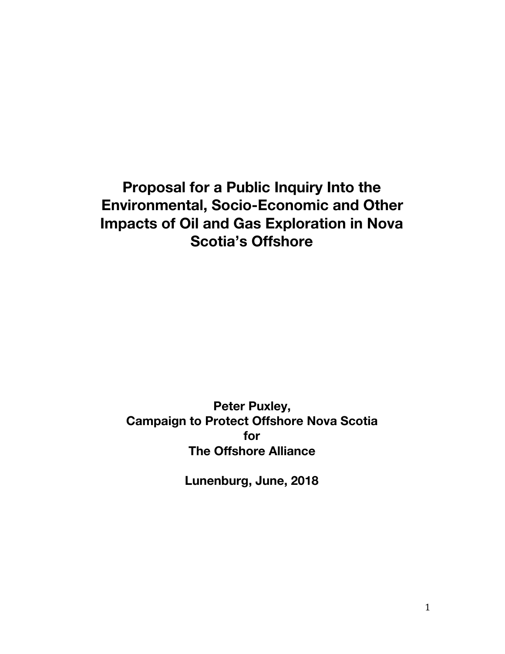**Proposal for a Public Inquiry Into the Environmental, Socio-Economic and Other Impacts of Oil and Gas Exploration in Nova Scotia's Offshore** 

**Peter Puxley, Campaign to Protect Offshore Nova Scotia for The Offshore Alliance** 

**Lunenburg, June, 2018**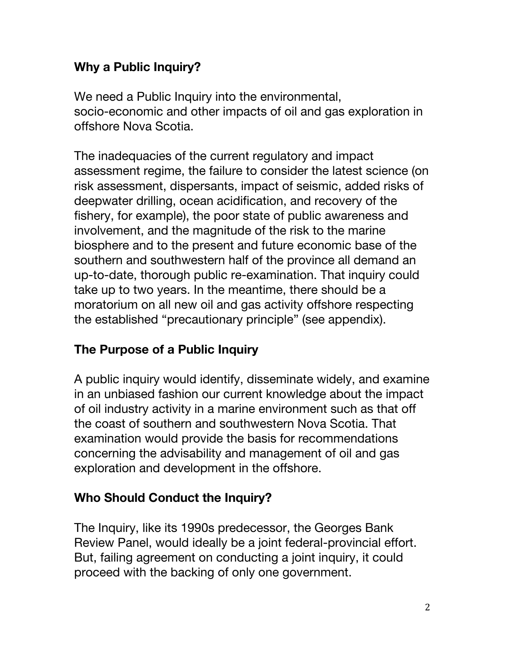## **Why a Public Inquiry?**

We need a Public Inquiry into the environmental, socio-economic and other impacts of oil and gas exploration in offshore Nova Scotia.

The inadequacies of the current regulatory and impact assessment regime, the failure to consider the latest science (on risk assessment, dispersants, impact of seismic, added risks of deepwater drilling, ocean acidification, and recovery of the fishery, for example), the poor state of public awareness and involvement, and the magnitude of the risk to the marine biosphere and to the present and future economic base of the southern and southwestern half of the province all demand an up-to-date, thorough public re-examination. That inquiry could take up to two years. In the meantime, there should be a moratorium on all new oil and gas activity offshore respecting the established "precautionary principle" (see appendix).

# **The Purpose of a Public Inquiry**

A public inquiry would identify, disseminate widely, and examine in an unbiased fashion our current knowledge about the impact of oil industry activity in a marine environment such as that off the coast of southern and southwestern Nova Scotia. That examination would provide the basis for recommendations concerning the advisability and management of oil and gas exploration and development in the offshore.

# **Who Should Conduct the Inquiry?**

The Inquiry, like its 1990s predecessor, the Georges Bank Review Panel, would ideally be a joint federal-provincial effort. But, failing agreement on conducting a joint inquiry, it could proceed with the backing of only one government.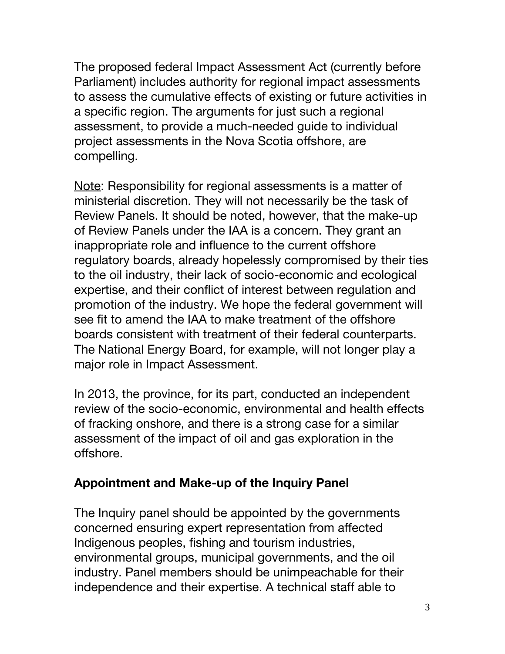The proposed federal Impact Assessment Act (currently before Parliament) includes authority for regional impact assessments to assess the cumulative effects of existing or future activities in a specific region. The arguments for just such a regional assessment, to provide a much-needed guide to individual project assessments in the Nova Scotia offshore, are compelling.

Note: Responsibility for regional assessments is a matter of ministerial discretion. They will not necessarily be the task of Review Panels. It should be noted, however, that the make-up of Review Panels under the IAA is a concern. They grant an inappropriate role and influence to the current offshore regulatory boards, already hopelessly compromised by their ties to the oil industry, their lack of socio-economic and ecological expertise, and their conflict of interest between regulation and promotion of the industry. We hope the federal government will see fit to amend the IAA to make treatment of the offshore boards consistent with treatment of their federal counterparts. The National Energy Board, for example, will not longer play a major role in Impact Assessment.

In 2013, the province, for its part, conducted an independent review of the socio-economic, environmental and health effects of fracking onshore, and there is a strong case for a similar assessment of the impact of oil and gas exploration in the offshore.

## **Appointment and Make-up of the Inquiry Panel**

The Inquiry panel should be appointed by the governments concerned ensuring expert representation from affected Indigenous peoples, fishing and tourism industries, environmental groups, municipal governments, and the oil industry. Panel members should be unimpeachable for their independence and their expertise. A technical staff able to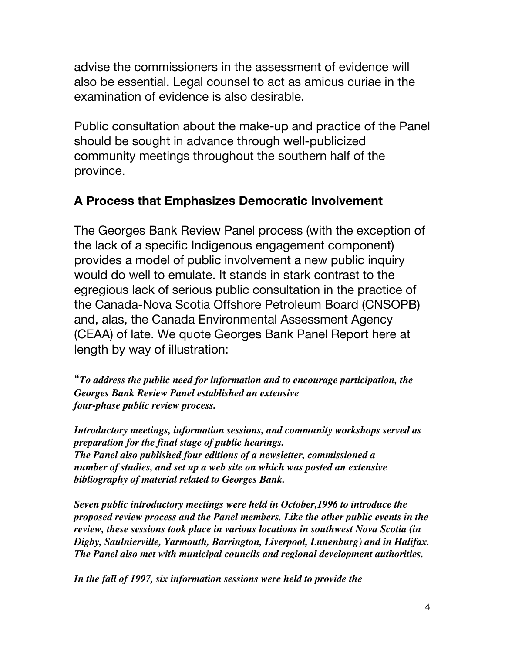advise the commissioners in the assessment of evidence will also be essential. Legal counsel to act as amicus curiae in the examination of evidence is also desirable.

Public consultation about the make-up and practice of the Panel should be sought in advance through well-publicized community meetings throughout the southern half of the province.

## **A Process that Emphasizes Democratic Involvement**

The Georges Bank Review Panel process (with the exception of the lack of a specific Indigenous engagement component) provides a model of public involvement a new public inquiry would do well to emulate. It stands in stark contrast to the egregious lack of serious public consultation in the practice of the Canada-Nova Scotia Offshore Petroleum Board (CNSOPB) and, alas, the Canada Environmental Assessment Agency (CEAA) of late. We quote Georges Bank Panel Report here at length by way of illustration:

"*To address the public need for information and to encourage participation, the Georges Bank Review Panel established an extensive four-phase public review process.* 

*Introductory meetings, information sessions, and community workshops served as preparation for the final stage of public hearings. The Panel also published four editions of a newsletter, commissioned a number of studies, and set up a web site on which was posted an extensive bibliography of material related to Georges Bank.* 

*Seven public introductory meetings were held in October,1996 to introduce the proposed review process and the Panel members. Like the other public events in the review, these sessions took place in various locations in southwest Nova Scotia (in Digby, Saulnierville, Yarmouth, Barrington, Liverpool, Lunenburg) and in Halifax. The Panel also met with municipal councils and regional development authorities.* 

*In the fall of 1997, six information sessions were held to provide the*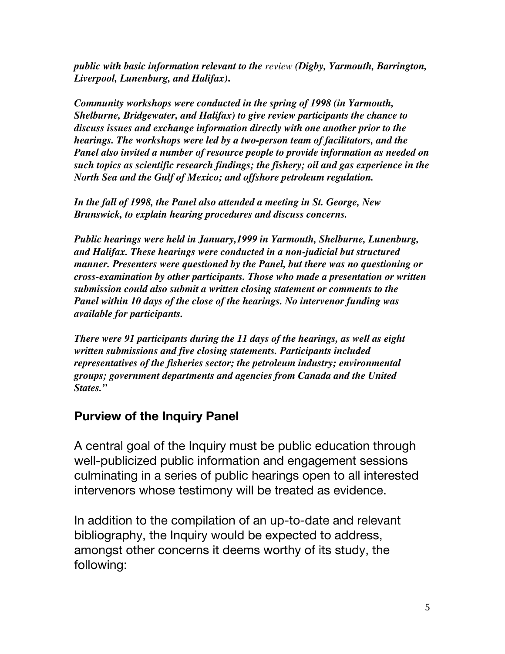*public with basic information relevant to the review (Digby, Yarmouth, Barrington, Liverpool, Lunenburg, and Halifax)***.** 

*Community workshops were conducted in the spring of 1998 (in Yarmouth, Shelburne, Bridgewater, and Halifax) to give review participants the chance to discuss issues and exchange information directly with one another prior to the hearings. The workshops were led by a two-person team of facilitators, and the Panel also invited a number of resource people to provide information as needed on such topics as scientific research findings; the fishery; oil and gas experience in the North Sea and the Gulf of Mexico; and offshore petroleum regulation.* 

*In the fall of 1998, the Panel also attended a meeting in St. George, New Brunswick, to explain hearing procedures and discuss concerns.* 

*Public hearings were held in January,1999 in Yarmouth, Shelburne, Lunenburg, and Halifax. These hearings were conducted in a non-judicial but structured manner. Presenters were questioned by the Panel, but there was no questioning or cross-examination by other participants. Those who made a presentation or written submission could also submit a written closing statement or comments to the Panel within 10 days of the close of the hearings. No intervenor funding was available for participants.* 

*There were 91 participants during the 11 days of the hearings, as well as eight written submissions and five closing statements. Participants included representatives of the fisheries sector; the petroleum industry; environmental groups; government departments and agencies from Canada and the United States."* 

## **Purview of the Inquiry Panel**

A central goal of the Inquiry must be public education through well-publicized public information and engagement sessions culminating in a series of public hearings open to all interested intervenors whose testimony will be treated as evidence.

In addition to the compilation of an up-to-date and relevant bibliography, the Inquiry would be expected to address, amongst other concerns it deems worthy of its study, the following: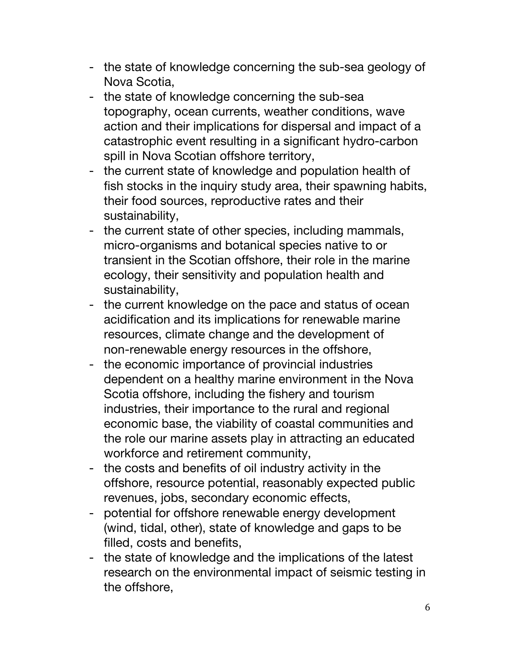- the state of knowledge concerning the sub-sea geology of Nova Scotia,
- the state of knowledge concerning the sub-sea topography, ocean currents, weather conditions, wave action and their implications for dispersal and impact of a catastrophic event resulting in a significant hydro-carbon spill in Nova Scotian offshore territory,
- the current state of knowledge and population health of fish stocks in the inquiry study area, their spawning habits, their food sources, reproductive rates and their sustainability,
- the current state of other species, including mammals, micro-organisms and botanical species native to or transient in the Scotian offshore, their role in the marine ecology, their sensitivity and population health and sustainability,
- the current knowledge on the pace and status of ocean acidification and its implications for renewable marine resources, climate change and the development of non-renewable energy resources in the offshore,
- the economic importance of provincial industries dependent on a healthy marine environment in the Nova Scotia offshore, including the fishery and tourism industries, their importance to the rural and regional economic base, the viability of coastal communities and the role our marine assets play in attracting an educated workforce and retirement community,
- the costs and benefits of oil industry activity in the offshore, resource potential, reasonably expected public revenues, jobs, secondary economic effects,
- potential for offshore renewable energy development (wind, tidal, other), state of knowledge and gaps to be filled, costs and benefits,
- the state of knowledge and the implications of the latest research on the environmental impact of seismic testing in the offshore,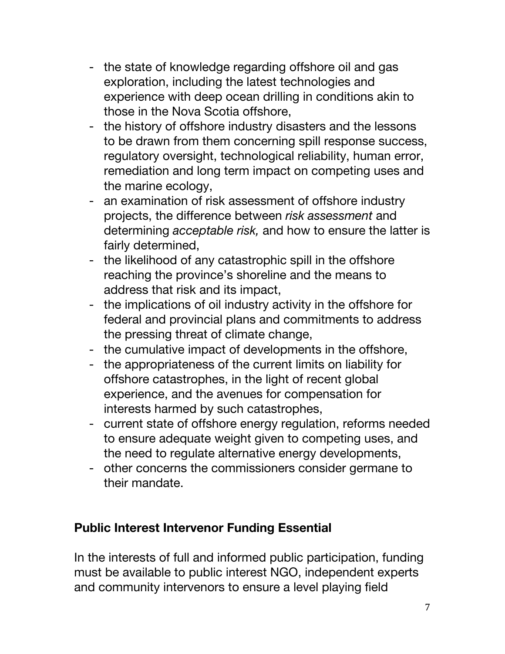- the state of knowledge regarding offshore oil and gas exploration, including the latest technologies and experience with deep ocean drilling in conditions akin to those in the Nova Scotia offshore,
- the history of offshore industry disasters and the lessons to be drawn from them concerning spill response success, regulatory oversight, technological reliability, human error, remediation and long term impact on competing uses and the marine ecology,
- an examination of risk assessment of offshore industry projects, the difference between *risk assessment* and determining *acceptable risk,* and how to ensure the latter is fairly determined,
- the likelihood of any catastrophic spill in the offshore reaching the province's shoreline and the means to address that risk and its impact,
- the implications of oil industry activity in the offshore for federal and provincial plans and commitments to address the pressing threat of climate change,
- the cumulative impact of developments in the offshore,
- the appropriateness of the current limits on liability for offshore catastrophes, in the light of recent global experience, and the avenues for compensation for interests harmed by such catastrophes,
- current state of offshore energy regulation, reforms needed to ensure adequate weight given to competing uses, and the need to regulate alternative energy developments,
- other concerns the commissioners consider germane to their mandate.

# **Public Interest Intervenor Funding Essential**

In the interests of full and informed public participation, funding must be available to public interest NGO, independent experts and community intervenors to ensure a level playing field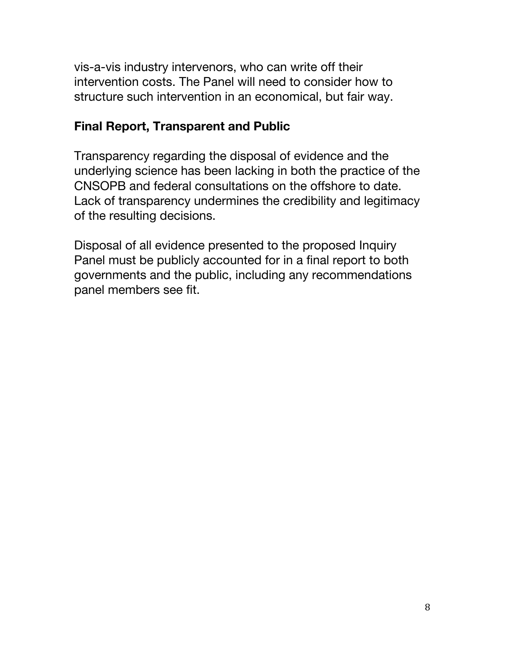vis-a-vis industry intervenors, who can write off their intervention costs. The Panel will need to consider how to structure such intervention in an economical, but fair way.

## **Final Report, Transparent and Public**

Transparency regarding the disposal of evidence and the underlying science has been lacking in both the practice of the CNSOPB and federal consultations on the offshore to date. Lack of transparency undermines the credibility and legitimacy of the resulting decisions.

Disposal of all evidence presented to the proposed Inquiry Panel must be publicly accounted for in a final report to both governments and the public, including any recommendations panel members see fit.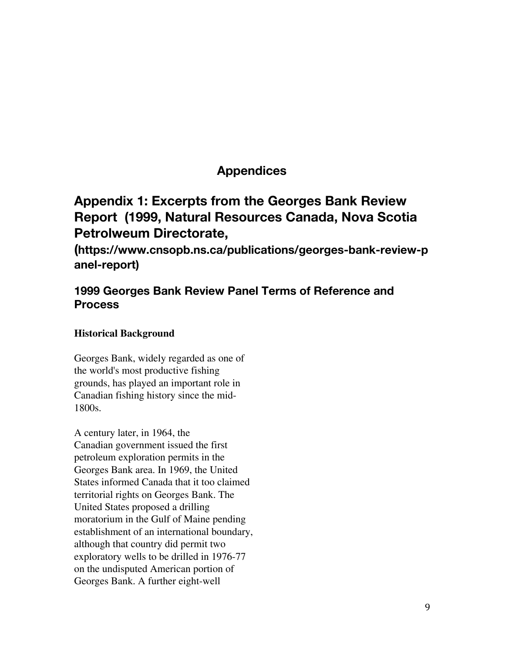## **Appendices**

## **Appendix 1: Excerpts from the Georges Bank Review Report (1999, Natural Resources Canada, Nova Scotia Petrolweum Directorate,**

**(https://www.cnsopb.ns.ca/publications/georges-bank-review-p anel-report)**

### **1999 Georges Bank Review Panel Terms of Reference and Process**

### **Historical Background**

Georges Bank, widely regarded as one of the world's most productive fishing grounds, has played an important role in Canadian fishing history since the mid- 1800s.

A century later, in 1964, the Canadian government issued the first petroleum exploration permits in the Georges Bank area. In 1969, the United States informed Canada that it too claimed territorial rights on Georges Bank. The United States proposed a drilling moratorium in the Gulf of Maine pending establishment of an international boundary, although that country did permit two exploratory wells to be drilled in 1976-77 on the undisputed American portion of Georges Bank. A further eight-well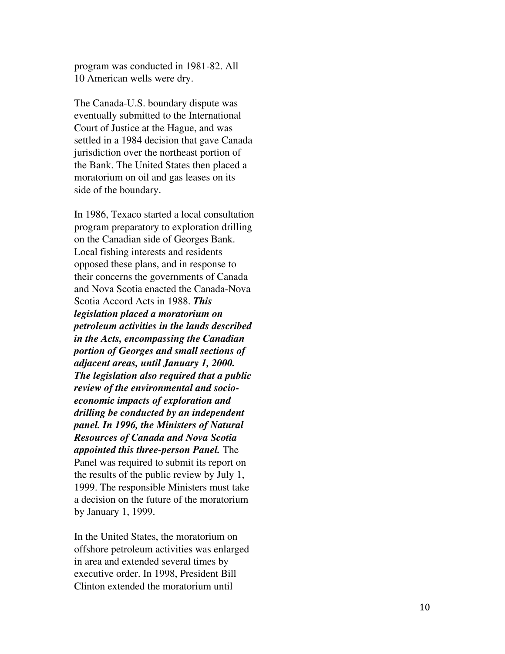program was conducted in 1981-82. All 10 American wells were dry.

The Canada-U.S. boundary dispute was eventually submitted to the International Court of Justice at the Hague, and was settled in a 1984 decision that gave Canada jurisdiction over the northeast portion of the Bank. The United States then placed a moratorium on oil and gas leases on its side of the boundary.

In 1986, Texaco started a local consultation program preparatory to exploration drilling on the Canadian side of Georges Bank. Local fishing interests and residents opposed these plans, and in response to their concerns the governments of Canada and Nova Scotia enacted the Canada-Nova Scotia Accord Acts in 1988. *This legislation placed a moratorium on petroleum activities in the lands described in the Acts, encompassing the Canadian portion of Georges and small sections of adjacent areas, until January 1, 2000. The legislation also required that a public review of the environmental and socio economic impacts of exploration and drilling be conducted by an independent panel. In 1996, the Ministers of Natural Resources of Canada and Nova Scotia appointed this three-person Panel.* The Panel was required to submit its report on the results of the public review by July 1, 1999. The responsible Ministers must take a decision on the future of the moratorium by January 1, 1999.

In the United States, the moratorium on offshore petroleum activities was enlarged in area and extended several times by executive order. In 1998, President Bill Clinton extended the moratorium until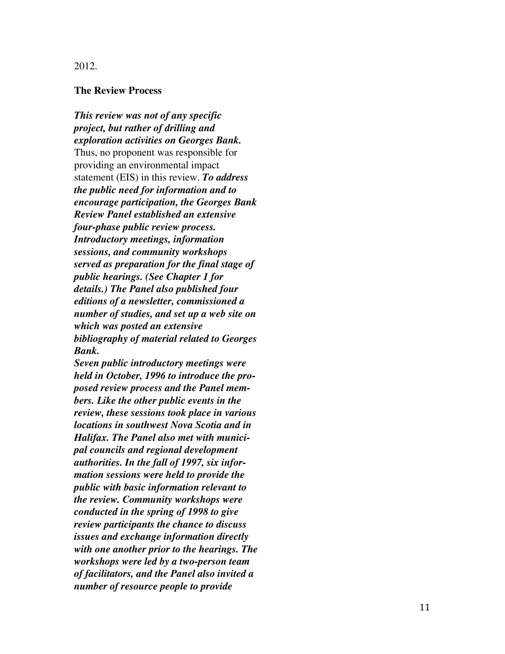#### 2012.

#### **The Review Process**

*This review was not of any specific project, but rather of drilling and exploration activities on Georges Bank.* Thus, no proponent was responsible for providing an environmental impact statement (EIS) in this review. *To address the public need for information and to encourage participation, the Georges Bank Review Panel established an extensive four-phase public review process. Introductory meetings, information sessions, and community workshops served as preparation for the final stage of public hearings. (See Chapter 1 for details.) The Panel also published four editions of a newsletter, commissioned a number of studies, and set up a web site on which was posted an extensive bibliography of material related to Georges Bank.* 

*Seven public introductory meetings were held in October, 1996 to introduce the pro posed review process and the Panel mem bers. Like the other public events in the review, these sessions took place in various locations in southwest Nova Scotia and in Halifax. The Panel also met with munici pal councils and regional development authorities. In the fall of 1997, six information sessions were held to provide the public with basic information relevant to the review. Community workshops were conducted in the spring of 1998 to give review participants the chance to discuss issues and exchange information directly with one another prior to the hearings. The workshops were led by a two-person team of facilitators, and the Panel also invited a number of resource people to provide*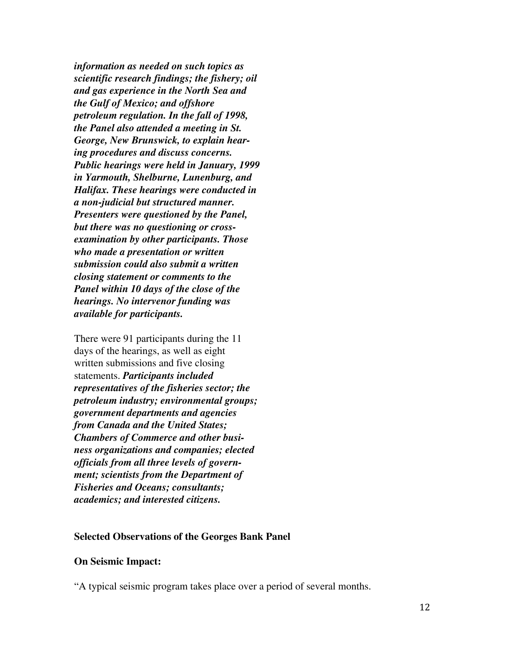*information as needed on such topics as scientific research findings; the fishery; oil and gas experience in the North Sea and the Gulf of Mexico; and offshore petroleum regulation. In the fall of 1998, the Panel also attended a meeting in St. George, New Brunswick, to explain hear ing procedures and discuss concerns. Public hearings were held in January, 1999 in Yarmouth, Shelburne, Lunenburg, and Halifax. These hearings were conducted in a non-judicial but structured manner. Presenters were questioned by the Panel, but there was no questioning or cross examination by other participants. Those who made a presentation or written submission could also submit a written closing statement or comments to the Panel within 10 days of the close of the hearings. No intervenor funding was available for participants.* 

There were 91 participants during the 11 days of the hearings, as well as eight written submissions and five closing statements. *Participants included representatives of the fisheries sector; the petroleum industry; environmental groups; government departments and agencies from Canada and the United States; Chambers of Commerce and other busi ness organizations and companies; elected officials from all three levels of govern ment; scientists from the Department of Fisheries and Oceans; consultants; academics; and interested citizens.* 

#### **Selected Observations of the Georges Bank Panel**

#### **On Seismic Impact:**

"A typical seismic program takes place over a period of several months.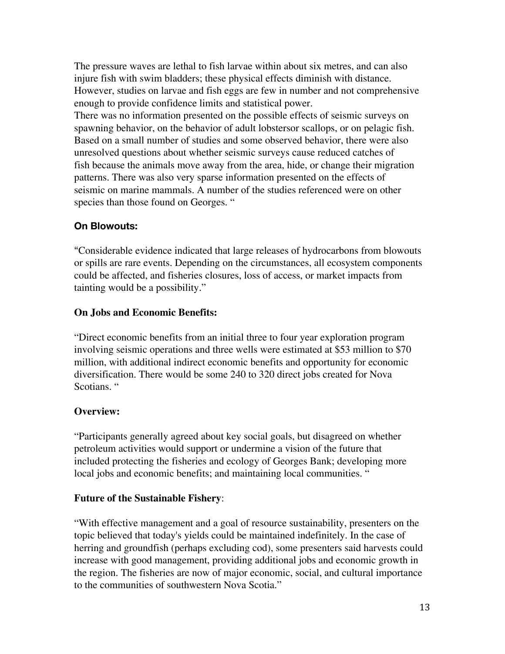The pressure waves are lethal to fish larvae within about six metres, and can also injure fish with swim bladders; these physical effects diminish with distance. However, studies on larvae and fish eggs are few in number and not comprehensive enough to provide confidence limits and statistical power.

There was no information presented on the possible effects of seismic surveys on spawning behavior, on the behavior of adult lobstersor scallops, or on pelagic fish. Based on a small number of studies and some observed behavior, there were also unresolved questions about whether seismic surveys cause reduced catches of fish because the animals move away from the area, hide, or change their migration patterns. There was also very sparse information presented on the effects of seismic on marine mammals. A number of the studies referenced were on other species than those found on Georges. "

### **On Blowouts:**

"Considerable evidence indicated that large releases of hydrocarbons from blowouts or spills are rare events. Depending on the circumstances, all ecosystem components could be affected, and fisheries closures, loss of access, or market impacts from tainting would be a possibility."

### **On Jobs and Economic Benefits:**

"Direct economic benefits from an initial three to four year exploration program involving seismic operations and three wells were estimated at \$53 million to \$70 million, with additional indirect economic benefits and opportunity for economic diversification. There would be some 240 to 320 direct jobs created for Nova Scotians. "

### **Overview:**

"Participants generally agreed about key social goals, but disagreed on whether petroleum activities would support or undermine a vision of the future that included protecting the fisheries and ecology of Georges Bank; developing more local jobs and economic benefits; and maintaining local communities. "

### **Future of the Sustainable Fishery**:

"With effective management and a goal of resource sustainability, presenters on the topic believed that today's yields could be maintained indefinitely. In the case of herring and groundfish (perhaps excluding cod), some presenters said harvests could increase with good management, providing additional jobs and economic growth in the region. The fisheries are now of major economic, social, and cultural importance to the communities of southwestern Nova Scotia."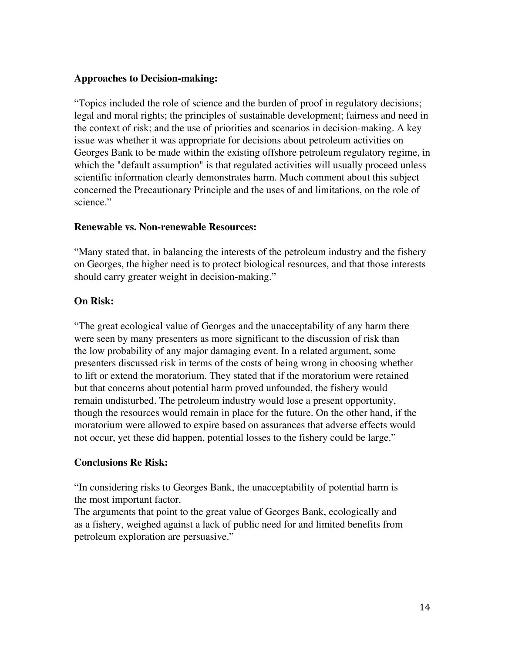### **Approaches to Decision-making:**

"Topics included the role of science and the burden of proof in regulatory decisions; legal and moral rights; the principles of sustainable development; fairness and need in the context of risk; and the use of priorities and scenarios in decision-making. A key issue was whether it was appropriate for decisions about petroleum activities on Georges Bank to be made within the existing offshore petroleum regulatory regime, in which the "default assumption" is that regulated activities will usually proceed unless scientific information clearly demonstrates harm. Much comment about this subject concerned the Precautionary Principle and the uses of and limitations, on the role of science."

### **Renewable vs. Non-renewable Resources:**

"Many stated that, in balancing the interests of the petroleum industry and the fishery on Georges, the higher need is to protect biological resources, and that those interests should carry greater weight in decision-making."

### **On Risk:**

"The great ecological value of Georges and the unacceptability of any harm there were seen by many presenters as more significant to the discussion of risk than the low probability of any major damaging event. In a related argument, some presenters discussed risk in terms of the costs of being wrong in choosing whether to lift or extend the moratorium. They stated that if the moratorium were retained but that concerns about potential harm proved unfounded, the fishery would remain undisturbed. The petroleum industry would lose a present opportunity, though the resources would remain in place for the future. On the other hand, if the moratorium were allowed to expire based on assurances that adverse effects would not occur, yet these did happen, potential losses to the fishery could be large."

### **Conclusions Re Risk:**

"In considering risks to Georges Bank, the unacceptability of potential harm is the most important factor.

The arguments that point to the great value of Georges Bank, ecologically and as a fishery, weighed against a lack of public need for and limited benefits from petroleum exploration are persuasive."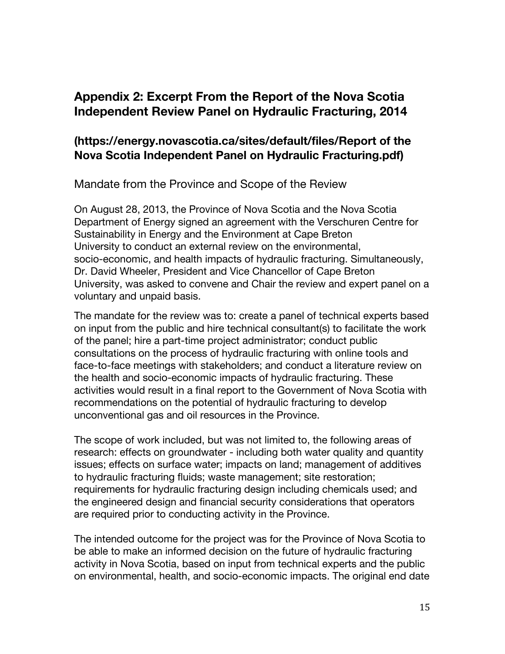## **Appendix 2: Excerpt From the Report of the Nova Scotia Independent Review Panel on Hydraulic Fracturing, 2014**

## **(<https://energy.novascotia.ca/sites/default/files/Report> of the Nova Scotia Independent Panel on Hydraulic Fracturing.pdf)**

Mandate from the Province and Scope of the Review

On August 28, 2013, the Province of Nova Scotia and the Nova Scotia Department of Energy signed an agreement with the Verschuren Centre for Sustainability in Energy and the Environment at Cape Breton University to conduct an external review on the environmental, socio-economic, and health impacts of hydraulic fracturing. Simultaneously, Dr. David Wheeler, President and Vice Chancellor of Cape Breton University, was asked to convene and Chair the review and expert panel on a voluntary and unpaid basis.

The mandate for the review was to: create a panel of technical experts based on input from the public and hire technical consultant(s) to facilitate the work of the panel; hire a part-time project administrator; conduct public consultations on the process of hydraulic fracturing with online tools and face-to-face meetings with stakeholders; and conduct a literature review on the health and socio-economic impacts of hydraulic fracturing. These activities would result in a final report to the Government of Nova Scotia with recommendations on the potential of hydraulic fracturing to develop unconventional gas and oil resources in the Province.

The scope of work included, but was not limited to, the following areas of research: effects on groundwater - including both water quality and quantity issues; effects on surface water; impacts on land; management of additives to hydraulic fracturing fluids; waste management; site restoration; requirements for hydraulic fracturing design including chemicals used; and the engineered design and financial security considerations that operators are required prior to conducting activity in the Province.

The intended outcome for the project was for the Province of Nova Scotia to be able to make an informed decision on the future of hydraulic fracturing activity in Nova Scotia, based on input from technical experts and the public on environmental, health, and socio-economic impacts. The original end date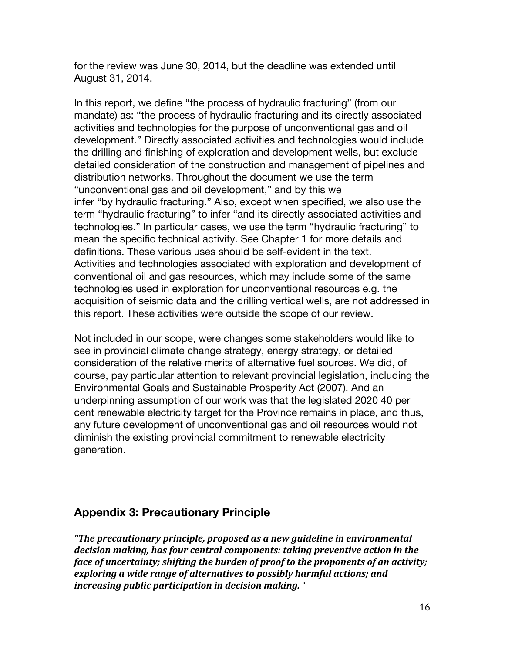for the review was June 30, 2014, but the deadline was extended until August 31, 2014.

In this report, we define "the process of hydraulic fracturing" (from our mandate) as: "the process of hydraulic fracturing and its directly associated activities and technologies for the purpose of unconventional gas and oil development." Directly associated activities and technologies would include the drilling and finishing of exploration and development wells, but exclude detailed consideration of the construction and management of pipelines and distribution networks. Throughout the document we use the term "unconventional gas and oil development," and by this we infer "by hydraulic fracturing." Also, except when specified, we also use the term "hydraulic fracturing" to infer "and its directly associated activities and technologies." In particular cases, we use the term "hydraulic fracturing" to mean the specific technical activity. See Chapter 1 for more details and definitions. These various uses should be self-evident in the text. Activities and technologies associated with exploration and development of conventional oil and gas resources, which may include some of the same technologies used in exploration for unconventional resources e.g. the acquisition of seismic data and the drilling vertical wells, are not addressed in this report. These activities were outside the scope of our review.

Not included in our scope, were changes some stakeholders would like to see in provincial climate change strategy, energy strategy, or detailed consideration of the relative merits of alternative fuel sources. We did, of course, pay particular attention to relevant provincial legislation, including the Environmental Goals and Sustainable Prosperity Act (2007). And an underpinning assumption of our work was that the legislated 2020 40 per cent renewable electricity target for the Province remains in place, and thus, any future development of unconventional gas and oil resources would not diminish the existing provincial commitment to renewable electricity generation.

### **Appendix 3: Precautionary Principle**

*"The precautionary principle, proposed as a new guideline in environmental decision making, has four central components: taking preventive action in the face of uncertainty; shifting the burden of proof to the proponents of an activity; exploring a wide range of alternatives to possibly harmful actions; and increasing public participation in decision making.* "